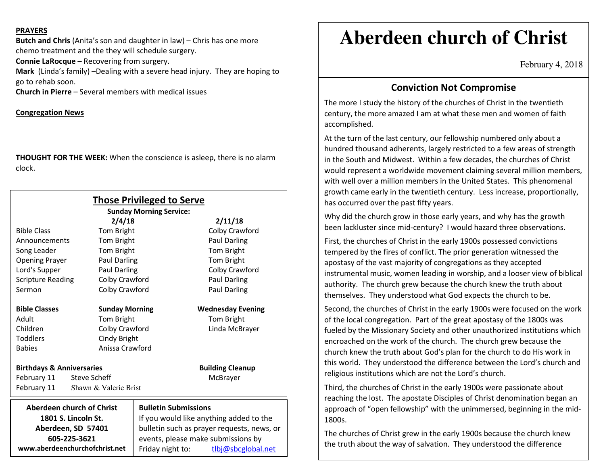#### **PRAYERS**

**Butch and Chris** (Anita's son and daughter in law) – Chris has one more chemo treatment and the they will schedule surgery.

**Connie LaRocque** – Recovering from surgery.

**Mark** (Linda's family) –Dealing with a severe head injury. They are hoping to go to rehab soon.

**Church in Pierre** – Several members with medical issues

### **Congregation News**

**THOUGHT FOR THE WEEK:** When the conscience is asleep, there is no alarm clock.

| <b>Those Privileged to Serve</b><br><b>Sunday Morning Service:</b> |                             |                                                                                       |  |
|--------------------------------------------------------------------|-----------------------------|---------------------------------------------------------------------------------------|--|
|                                                                    | 2/4/18                      | 2/11/18                                                                               |  |
| <b>Bible Class</b>                                                 | Tom Bright                  | Colby Crawford                                                                        |  |
| Announcements                                                      | Tom Bright                  | Paul Darling                                                                          |  |
| Song Leader                                                        | Tom Bright                  | Tom Bright                                                                            |  |
| <b>Opening Prayer</b>                                              | <b>Paul Darling</b>         | Tom Bright                                                                            |  |
| Lord's Supper                                                      | Paul Darling                | Colby Crawford                                                                        |  |
| <b>Scripture Reading</b>                                           | Colby Crawford              | <b>Paul Darling</b>                                                                   |  |
| Sermon                                                             | Colby Crawford              | <b>Paul Darling</b>                                                                   |  |
| <b>Bible Classes</b>                                               | <b>Sunday Morning</b>       | <b>Wednesday Evening</b>                                                              |  |
| Adult                                                              | Tom Bright                  | Tom Bright                                                                            |  |
| Children                                                           | Colby Crawford              | Linda McBrayer                                                                        |  |
| <b>Toddlers</b>                                                    | Cindy Bright                |                                                                                       |  |
| <b>Babies</b>                                                      | Anissa Crawford             |                                                                                       |  |
| <b>Birthdays &amp; Anniversaries</b>                               |                             | <b>Building Cleanup</b>                                                               |  |
| February 11<br>Steve Scheff                                        |                             | McBrayer                                                                              |  |
| February 11<br>Shawn & Valerie Brist                               |                             |                                                                                       |  |
| <b>Aberdeen church of Christ</b>                                   | <b>Bulletin Submissions</b> |                                                                                       |  |
| 1801 S. Lincoln St.                                                |                             | If you would like anything added to the<br>bulletin such as prayer requests, news, or |  |
| Aberdeen, SD 57401                                                 |                             |                                                                                       |  |
| 605-225-3621                                                       |                             | events, please make submissions by                                                    |  |
| www.aberdeenchurchofchrist.net                                     | Friday night to:            | tlbj@sbcglobal.net                                                                    |  |

# **Aberdeen church of Christ**

February 4, 2018

## **Conviction Not Compromise**

The more I study the history of the churches of Christ in the twentieth century, the more amazed I am at what these men and women of faith accomplished.

At the turn of the last century, our fellowship numbered only about a hundred thousand adherents, largely restricted to a few areas of strength in the South and Midwest. Within a few decades, the churches of Christ would represent a worldwide movement claiming several million members, with well over a million members in the United States. This phenomenal growth came early in the twentieth century. Less increase, proportionally, has occurred over the past fifty years.

Why did the church grow in those early years, and why has the growth been lackluster since mid-century? I would hazard three observations.

First, the churches of Christ in the early 1900s possessed convictions tempered by the fires of conflict. The prior generation witnessed the apostasy of the vast majority of congregations as they accepted instrumental music, women leading in worship, and a looser view of biblical authority. The church grew because the church knew the truth about themselves. They understood what God expects the church to be.

Second, the churches of Christ in the early 1900s were focused on the work of the local congregation. Part of the great apostasy of the 1800s was fueled by the Missionary Society and other unauthorized institutions which encroached on the work of the church. The church grew because the church knew the truth about God's plan for the church to do His work in this world. They understood the difference between the Lord's church and religious institutions which are not the Lord's church.

Third, the churches of Christ in the early 1900s were passionate about reaching the lost. The apostate Disciples of Christ denomination began an approach of "open fellowship" with the unimmersed, beginning in the mid-1800s.

The churches of Christ grew in the early 1900s because the church knew the truth about the way of salvation. They understood the difference